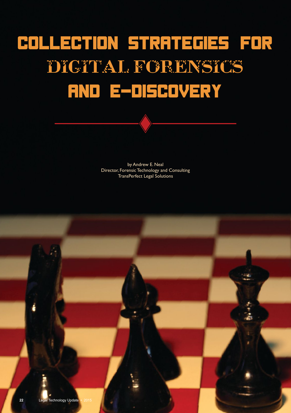## Collection Strategies for Digital Forensics and E-Discovery

by Andrew E. Neal Director, Forensic Technology and Consulting TransPerfect Legal Solutions